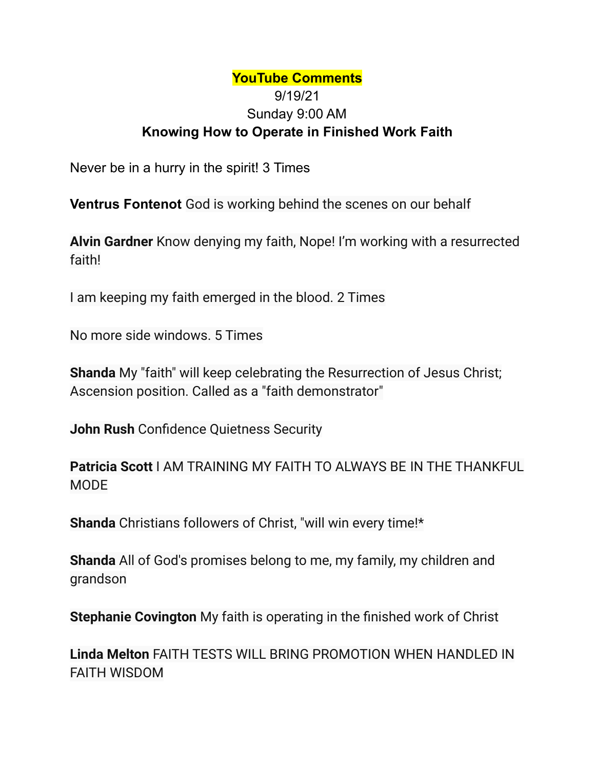## **YouTube Comments** 9/19/21 Sunday 9:00 AM **Knowing How to Operate in Finished Work Faith**

Never be in a hurry in the spirit! 3 Times

**Ventrus Fontenot** God is working behind the scenes on our behalf

**Alvin Gardner** Know denying my faith, Nope! I'm working with a resurrected faith!

I am keeping my faith emerged in the blood. 2 Times

No more side windows. 5 Times

**Shanda** My "faith" will keep celebrating the Resurrection of Jesus Christ; Ascension position. Called as a "faith demonstrator"

**John Rush** Confidence Quietness Security

**Patricia Scott** I AM TRAINING MY FAITH TO ALWAYS BE IN THE THANKFUL MODE

**Shanda** Christians followers of Christ, "will win every time!\*

**Shanda** All of God's promises belong to me, my family, my children and grandson

**Stephanie Covington** My faith is operating in the finished work of Christ

**Linda Melton** FAITH TESTS WILL BRING PROMOTION WHEN HANDLED IN FAITH WISDOM